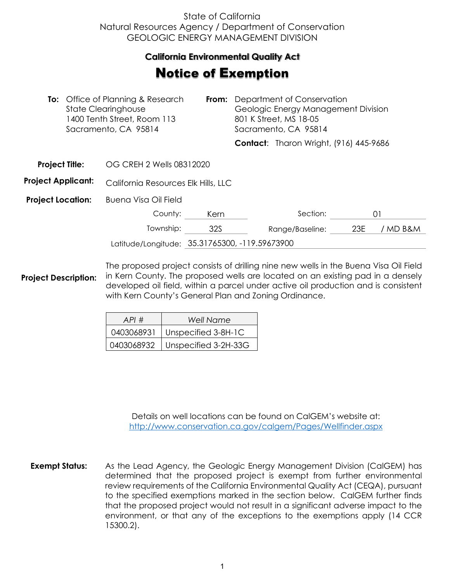## State of California Natural Resources Agency / Department of Conservation GEOLOGIC ENERGY MANAGEMENT DIVISION

## **California Environmental Quality Act**  California Environmental Quality Act

## **Notice of Exemption**

|                           |  | <b>To:</b> Office of Planning & Research<br>From:<br><b>State Clearinghouse</b><br>1400 Tenth Street, Room 113<br>Sacramento, CA 95814 |      |  | Department of Conservation<br>Geologic Energy Management Division<br>801 K Street, MS 18-05<br>Sacramento, CA 95814 |     |          |
|---------------------------|--|----------------------------------------------------------------------------------------------------------------------------------------|------|--|---------------------------------------------------------------------------------------------------------------------|-----|----------|
|                           |  |                                                                                                                                        |      |  | <b>Contact:</b> Tharon Wright, (916) 445-9686                                                                       |     |          |
| <b>Project Title:</b>     |  | OG CREH 2 Wells 08312020                                                                                                               |      |  |                                                                                                                     |     |          |
| <b>Project Applicant:</b> |  | California Resources Elk Hills, LLC                                                                                                    |      |  |                                                                                                                     |     |          |
| <b>Project Location:</b>  |  | Buena Visa Oil Field                                                                                                                   |      |  |                                                                                                                     |     |          |
|                           |  | County:                                                                                                                                | Kern |  | Section:                                                                                                            |     | 01       |
|                           |  | Township:                                                                                                                              | 32S  |  | Range/Baseline:                                                                                                     | 23E | / MD B&M |
|                           |  | Latitude/Longitude: 35.31765300, -119.59673900                                                                                         |      |  |                                                                                                                     |     |          |

**Project Description:** The proposed project consists of drilling nine new wells in the Buena Visa Oil Field in Kern County. The proposed wells are located on an existing pad in a densely developed oil field, within a parcel under active oil production and is consistent with Kern County's General Plan and Zoning Ordinance.

| API#       | Well Name                         |  |  |
|------------|-----------------------------------|--|--|
| 0403068931 | Unspecified 3-8H-1C               |  |  |
|            | 0403068932   Unspecified 3-2H-33G |  |  |

Details on well locations can be found on CalGEM's website at: <http://www.conservation.ca.gov/calgem/Pages/Wellfinder.aspx>

**Exempt Status:** As the Lead Agency, the Geologic Energy Management Division (CalGEM) has determined that the proposed project is exempt from further environmental review requirements of the California Environmental Quality Act (CEQA), pursuant to the specified exemptions marked in the section below. CalGEM further finds that the proposed project would not result in a significant adverse impact to the environment, or that any of the exceptions to the exemptions apply (14 CCR 15300.2).